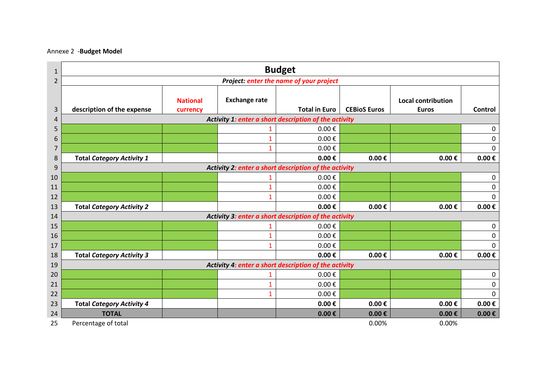## Annexe 2 -Budget Model

| 1        | <b>Budget</b>                                         |                                                                                                                                                                |                      |                                                       |                     |                                           |                     |  |  |  |  |  |
|----------|-------------------------------------------------------|----------------------------------------------------------------------------------------------------------------------------------------------------------------|----------------------|-------------------------------------------------------|---------------------|-------------------------------------------|---------------------|--|--|--|--|--|
| 2        | Project: enter the name of your project               |                                                                                                                                                                |                      |                                                       |                     |                                           |                     |  |  |  |  |  |
| 3        | description of the expense                            | <b>National</b><br>currency                                                                                                                                    | <b>Exchange rate</b> | <b>Total in Euro</b>                                  | <b>CEBioS Euros</b> | <b>Local contribution</b><br><b>Euros</b> | Control             |  |  |  |  |  |
| 4        | Activity 1: enter a short description of the activity |                                                                                                                                                                |                      |                                                       |                     |                                           |                     |  |  |  |  |  |
| 5        |                                                       |                                                                                                                                                                |                      | $0.00 \text{ } \in$                                   |                     |                                           | 0                   |  |  |  |  |  |
| 6        |                                                       |                                                                                                                                                                | 1                    | $0.00 \text{ } \in$                                   |                     |                                           | 0                   |  |  |  |  |  |
|          |                                                       |                                                                                                                                                                | 1                    | $0.00 \text{ } \in$                                   |                     |                                           | $\Omega$            |  |  |  |  |  |
| 8        | <b>Total Category Activity 1</b>                      |                                                                                                                                                                |                      | $0.00 \text{ } \in$                                   | $0.00 \text{ } \in$ | $0.00 \text{ } \in$                       | $0.00 \in$          |  |  |  |  |  |
| 9        | Activity 2: enter a short description of the activity |                                                                                                                                                                |                      |                                                       |                     |                                           |                     |  |  |  |  |  |
| 10       |                                                       |                                                                                                                                                                |                      | $0.00 \text{ } \in$                                   |                     |                                           | 0                   |  |  |  |  |  |
| 11       |                                                       |                                                                                                                                                                | 1<br>1               | $0.00 \text{ } \in$<br>$0.00 \text{ } \in$            |                     |                                           | 0<br>$\Omega$       |  |  |  |  |  |
| 12<br>13 |                                                       |                                                                                                                                                                |                      |                                                       |                     |                                           | $0.00 \text{ } \in$ |  |  |  |  |  |
| 14       |                                                       | $0.00 \text{ } \in$<br><b>Total Category Activity 2</b><br>$0.00 \text{ } \in$<br>$0.00 \text{ } \in$<br>Activity 3: enter a short description of the activity |                      |                                                       |                     |                                           |                     |  |  |  |  |  |
| 15       | $0.00 \text{ } \in$                                   |                                                                                                                                                                |                      |                                                       |                     |                                           |                     |  |  |  |  |  |
| 16       |                                                       |                                                                                                                                                                | 1                    | $0.00 \text{ } \in$                                   |                     |                                           | 0<br>0              |  |  |  |  |  |
| 17       |                                                       |                                                                                                                                                                | 1                    | $0.00 \text{ } \in$                                   |                     |                                           | $\Omega$            |  |  |  |  |  |
| 18       | <b>Total Category Activity 3</b>                      |                                                                                                                                                                |                      | $0.00 \text{ } \in$                                   | $0.00 \text{ } \in$ | $0.00 \in$                                | $0.00 \text{ } \in$ |  |  |  |  |  |
| 19       |                                                       |                                                                                                                                                                |                      | Activity 4: enter a short description of the activity |                     |                                           |                     |  |  |  |  |  |
| 20       |                                                       |                                                                                                                                                                |                      | $0.00 \text{ } \in$                                   |                     |                                           | 0                   |  |  |  |  |  |
| 21       |                                                       |                                                                                                                                                                | $\mathbf{1}$         | $0.00 \text{ } \in$                                   |                     |                                           | $\mathbf 0$         |  |  |  |  |  |
| 22       |                                                       |                                                                                                                                                                | 1                    | $0.00 \text{ } \in$                                   |                     |                                           | $\Omega$            |  |  |  |  |  |
| 23       | <b>Total Category Activity 4</b>                      |                                                                                                                                                                |                      | $0.00 \in$                                            | $0.00 \in$          | $0.00 \text{ } \in$                       | $0.00 \text{ } \in$ |  |  |  |  |  |
| 24       | <b>TOTAL</b>                                          |                                                                                                                                                                |                      | $0.00 \text{ } \in$                                   | $0.00 \text{ } \in$ | $0.00 \text{ } \in$                       | $0.00 \text{ } \in$ |  |  |  |  |  |
| 25       | Percentage of total                                   |                                                                                                                                                                |                      |                                                       | 0.00%               | 0.00%                                     |                     |  |  |  |  |  |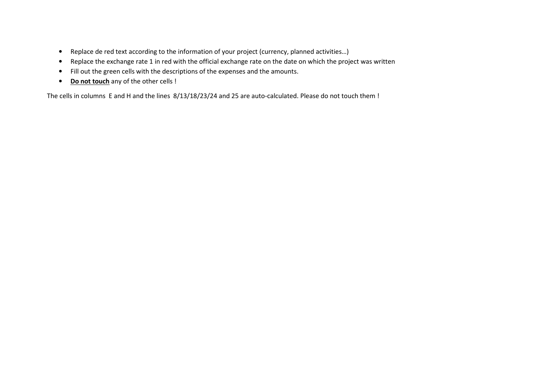- Replace de red text according to the information of your project (currency, planned activities…)
- Replace the exchange rate 1 in red with the official exchange rate on the date on which the project was written
- Fill out the green cells with the descriptions of the expenses and the amounts.
- Do not touch any of the other cells !

The cells in columns E and H and the lines 8/13/18/23/24 and 25 are auto-calculated. Please do not touch them !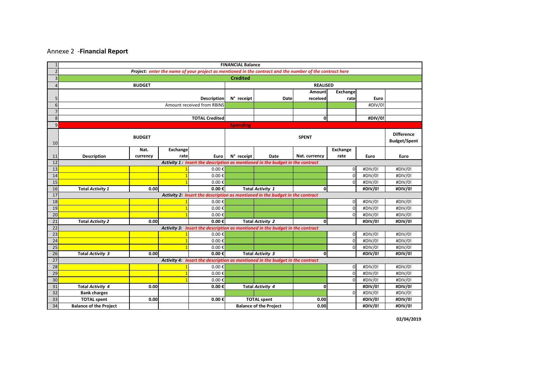## Annexe 2 -**Financial Report**

| $1\vert$       | <b>FINANCIAL Balance</b>                                                                                 |                    |          |                                   |                 |                                                                               |               |                 |                    |                                          |  |  |
|----------------|----------------------------------------------------------------------------------------------------------|--------------------|----------|-----------------------------------|-----------------|-------------------------------------------------------------------------------|---------------|-----------------|--------------------|------------------------------------------|--|--|
|                | Project: enter the name of your project as mentioned in the contract and the number of the contract here |                    |          |                                   |                 |                                                                               |               |                 |                    |                                          |  |  |
| 3              | <b>Credited</b>                                                                                          |                    |          |                                   |                 |                                                                               |               |                 |                    |                                          |  |  |
|                | <b>BUDGET</b>                                                                                            |                    |          |                                   | <b>REALISED</b> |                                                                               |               |                 |                    |                                          |  |  |
|                |                                                                                                          |                    |          |                                   |                 |                                                                               | <b>Amount</b> | Exchange        |                    |                                          |  |  |
|                |                                                                                                          | <b>Description</b> |          |                                   |                 |                                                                               | received      | rate            | Euro               |                                          |  |  |
| 6 <sup>1</sup> | Amount received from RBINS                                                                               |                    |          |                                   |                 |                                                                               |               |                 | #DIV/0!            |                                          |  |  |
| $\overline{7}$ | <b>TOTAL Credited</b>                                                                                    |                    |          |                                   |                 |                                                                               |               |                 |                    |                                          |  |  |
| 8 <sup>1</sup> |                                                                                                          |                    |          | 0                                 |                 | #DIV/0!                                                                       |               |                 |                    |                                          |  |  |
| $\overline{9}$ | <b>Spending</b>                                                                                          |                    |          |                                   |                 |                                                                               |               |                 |                    |                                          |  |  |
| 10             | <b>BUDGET</b>                                                                                            |                    |          |                                   | <b>SPENT</b>    |                                                                               |               |                 |                    | <b>Difference</b><br><b>Budget/Spent</b> |  |  |
|                |                                                                                                          | Nat.               | Exchange |                                   |                 |                                                                               |               | <b>Exchange</b> |                    |                                          |  |  |
| 11             | <b>Description</b>                                                                                       | currency           | rate     | Euro                              | N° receipt      | Date                                                                          | Nat. currency | rate            | Euro               | Euro                                     |  |  |
| 12             | Activity 1: Insert the description as mentioned in the budget in the contract                            |                    |          |                                   |                 |                                                                               |               |                 |                    |                                          |  |  |
| 13             |                                                                                                          |                    |          | $0.00 \in$                        |                 |                                                                               |               | 0               | #DIV/0!            | #DIV/0!                                  |  |  |
| 14             |                                                                                                          |                    |          | 0.00€                             |                 |                                                                               |               | $\Omega$        | #DIV/0!            | #DIV/0!                                  |  |  |
| 15             |                                                                                                          |                    |          | $0.00 \text{ } \in$               |                 |                                                                               |               | $\Omega$        | #DIV/0!            | #DIV/0!                                  |  |  |
| 16             | <b>Total Activity 1</b>                                                                                  | 0.00               |          | 0.00€                             |                 | <b>Total Activity 1</b>                                                       | οI            |                 | #DIV/0!            | #DIV/0!                                  |  |  |
| 17             | Activity 2: Insert the description as mentioned in the budget in the contract                            |                    |          |                                   |                 |                                                                               |               |                 |                    |                                          |  |  |
| 18             |                                                                                                          |                    |          | $0.00 \text{ } \in$               |                 |                                                                               |               | $\overline{0}$  | #DIV/0!            | #DIV/0!                                  |  |  |
| 19             |                                                                                                          |                    |          | $0.00 \text{ } \in$               |                 |                                                                               |               | 0               | #DIV/0!            | #DIV/0!                                  |  |  |
| 20             |                                                                                                          |                    |          | $0.00 \text{ } \in$               |                 |                                                                               |               | 0               | #DIV/0!            | #DIV/0!                                  |  |  |
| 21             | <b>Total Activity 2</b>                                                                                  | 0.00               |          | $0.00 \in$                        |                 | <b>Total Activity 2</b>                                                       | 0             |                 | #DIV/0!            | #DIV/0!                                  |  |  |
| 22             |                                                                                                          |                    |          |                                   |                 | Activity 3: Insert the description as mentioned in the budget in the contract |               |                 |                    |                                          |  |  |
| 23             |                                                                                                          |                    |          | $0.00 \text{ } \in$               |                 |                                                                               |               | $\overline{0}$  | #DIV/0!            | #DIV/0!                                  |  |  |
| 24             |                                                                                                          |                    |          | $0.00 \text{ } \in$               |                 |                                                                               |               | <sub>0</sub>    | #DIV/0!            | #DIV/0!                                  |  |  |
| 25<br>26       |                                                                                                          | 0.00               |          | $0.00 \text{ } \in$<br>$0.00 \in$ |                 | <b>Total Activity 3</b>                                                       | οI            |                 | #DIV/0!<br>#DIV/0! | #DIV/0!<br>#DIV/0!                       |  |  |
| 27             | <b>Total Activity 3</b>                                                                                  |                    |          |                                   |                 |                                                                               |               |                 |                    |                                          |  |  |
| 28             |                                                                                                          |                    |          | $0.00 \text{ } \in$               |                 | Activity 4: Insert the description as mentioned in the budget in the contract |               | $\overline{0}$  | #DIV/0!            | #DIV/0!                                  |  |  |
| 29             |                                                                                                          |                    |          | $0.00 \text{ } \in$               |                 |                                                                               |               | $\Omega$        | #DIV/0!            | #DIV/0!                                  |  |  |
| 30             |                                                                                                          |                    |          | 0.00€                             |                 |                                                                               |               | $\Omega$        | #DIV/0!            | #DIV/0!                                  |  |  |
| 31             | <b>Total Activity 4</b>                                                                                  | 0.00               |          | $0.00 \text{ } \in$               |                 | <b>Total Activity 4</b>                                                       | ٥l            |                 | #DIV/0!            | #DIV/0!                                  |  |  |
| 32             | <b>Bank charges</b>                                                                                      |                    |          |                                   |                 |                                                                               |               | $\Omega$        | #DIV/0!            | #DIV/0!                                  |  |  |
| 33             | <b>TOTAL spent</b>                                                                                       | 0.00               |          | $0.00 \text{ } \in$               |                 | <b>TOTAL spent</b>                                                            | 0.00          |                 | #DIV/0!            | #DIV/0!                                  |  |  |
| 34             | <b>Balance of the Project</b>                                                                            |                    |          |                                   |                 | <b>Balance of the Project</b>                                                 | 0.00          |                 | #DIV/0!            | #DIV/0!                                  |  |  |
|                |                                                                                                          |                    |          |                                   |                 |                                                                               |               |                 |                    |                                          |  |  |

02/04/2019